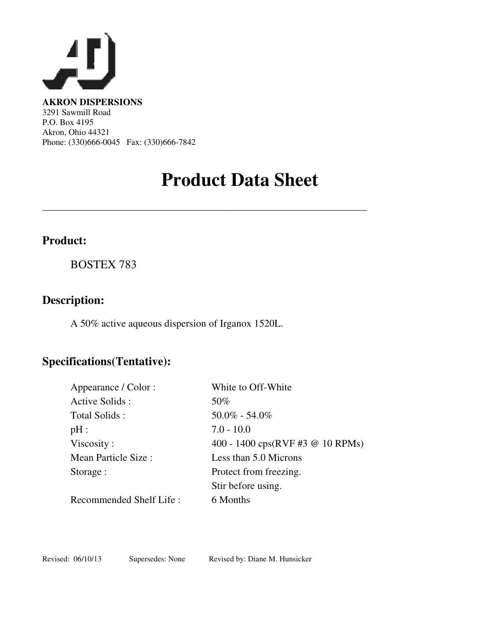

**AKRON DISPERSIONS**  3291 Sawmill Road P.O. Box 4195 Akron, Ohio 44321 Phone: (330)666-0045 Fax: (330)666-7842

## **Product Data Sheet**

\_\_\_\_\_\_\_\_\_\_\_\_\_\_\_\_\_\_\_\_\_\_\_\_\_\_\_\_\_\_\_\_\_\_\_\_\_\_\_\_\_\_\_\_\_\_\_\_\_\_\_\_\_\_\_\_\_\_\_\_\_\_\_\_\_\_\_\_\_

### **Product:**

BOSTEX 783

### **Description:**

A 50% active aqueous dispersion of Irganox 1520L.

## **Specifications(Tentative):**

| Appearance / Color :    | White to Off-White                                             |
|-------------------------|----------------------------------------------------------------|
| Active Solids:          | 50%                                                            |
| Total Solids:           | $50.0\% - 54.0\%$                                              |
| pH:                     | $7.0 - 10.0$                                                   |
| Viscosity:              | 400 - 1400 $\text{cps}(\text{RVF} \# 3 \ @ \ 10 \text{ RPMs})$ |
| Mean Particle Size:     | Less than 5.0 Microns                                          |
| Storage :               | Protect from freezing.                                         |
|                         | Stir before using.                                             |
| Recommended Shelf Life: | 6 Months                                                       |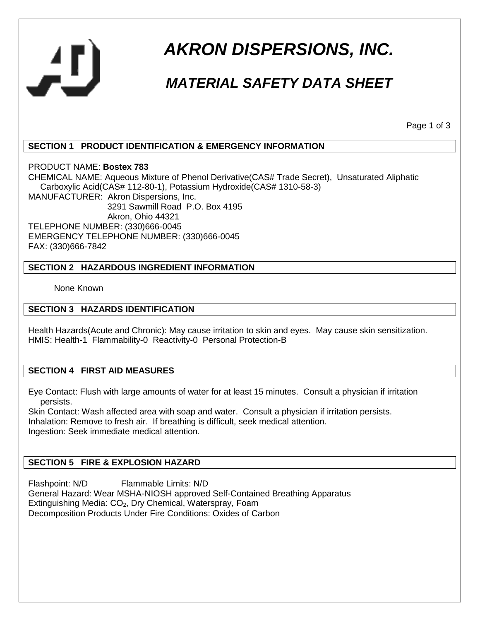

# *AKRON DISPERSIONS, INC.*

## *MATERIAL SAFETY DATA SHEET*

Page 1 of 3

#### **SECTION 1 PRODUCT IDENTIFICATION & EMERGENCY INFORMATION**

PRODUCT NAME: **Bostex 783**

CHEMICAL NAME: Aqueous Mixture of Phenol Derivative(CAS# Trade Secret), Unsaturated Aliphatic Carboxylic Acid(CAS# 112-80-1), Potassium Hydroxide(CAS# 1310-58-3) MANUFACTURER: Akron Dispersions, Inc. 3291 Sawmill Road P.O. Box 4195 Akron, Ohio 44321 TELEPHONE NUMBER: (330)666-0045 EMERGENCY TELEPHONE NUMBER: (330)666-0045 FAX: (330)666-7842

#### **SECTION 2 HAZARDOUS INGREDIENT INFORMATION**

None Known

#### **SECTION 3 HAZARDS IDENTIFICATION**

Health Hazards(Acute and Chronic): May cause irritation to skin and eyes. May cause skin sensitization. HMIS: Health-1 Flammability-0 Reactivity-0 Personal Protection-B

#### **SECTION 4 FIRST AID MEASURES**

Eye Contact: Flush with large amounts of water for at least 15 minutes. Consult a physician if irritation persists.

Skin Contact: Wash affected area with soap and water. Consult a physician if irritation persists. Inhalation: Remove to fresh air. If breathing is difficult, seek medical attention. Ingestion: Seek immediate medical attention.

#### **SECTION 5 FIRE & EXPLOSION HAZARD**

Flashpoint: N/D Flammable Limits: N/D General Hazard: Wear MSHA-NIOSH approved Self-Contained Breathing Apparatus Extinguishing Media: CO<sub>2</sub>, Dry Chemical, Waterspray, Foam Decomposition Products Under Fire Conditions: Oxides of Carbon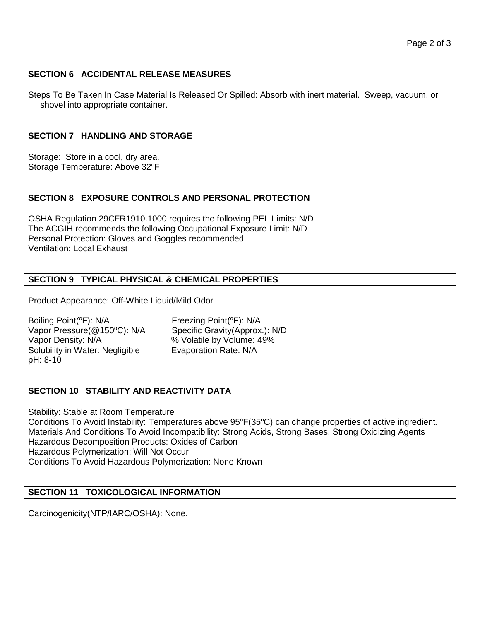#### **SECTION 6 ACCIDENTAL RELEASE MEASURES**

Steps To Be Taken In Case Material Is Released Or Spilled: Absorb with inert material. Sweep, vacuum, or shovel into appropriate container.

#### **SECTION 7 HANDLING AND STORAGE**

Storage: Store in a cool, dry area. Storage Temperature: Above 32°F

#### **SECTION 8 EXPOSURE CONTROLS AND PERSONAL PROTECTION**

OSHA Regulation 29CFR1910.1000 requires the following PEL Limits: N/D The ACGIH recommends the following Occupational Exposure Limit: N/D Personal Protection: Gloves and Goggles recommended Ventilation: Local Exhaust

#### **SECTION 9 TYPICAL PHYSICAL & CHEMICAL PROPERTIES**

Product Appearance: Off-White Liquid/Mild Odor

Boiling Point(<sup>o</sup>F): N/A Freezing Point(<sup>o</sup>F): N/A Vapor Pressure(@150°C): N/A Specific Gravity(Approx.): N/D Vapor Density: N/A  $\%$  Volatile by Volume: 49% Solubility in Water: Negligible Evaporation Rate: N/A pH: 8-10

#### **SECTION 10 STABILITY AND REACTIVITY DATA**

Stability: Stable at Room Temperature Conditions To Avoid Instability: Temperatures above 95°F(35°C) can change properties of active ingredient. Materials And Conditions To Avoid Incompatibility: Strong Acids, Strong Bases, Strong Oxidizing Agents Hazardous Decomposition Products: Oxides of Carbon Hazardous Polymerization: Will Not Occur Conditions To Avoid Hazardous Polymerization: None Known

#### **SECTION 11 TOXICOLOGICAL INFORMATION**

Carcinogenicity(NTP/IARC/OSHA): None.